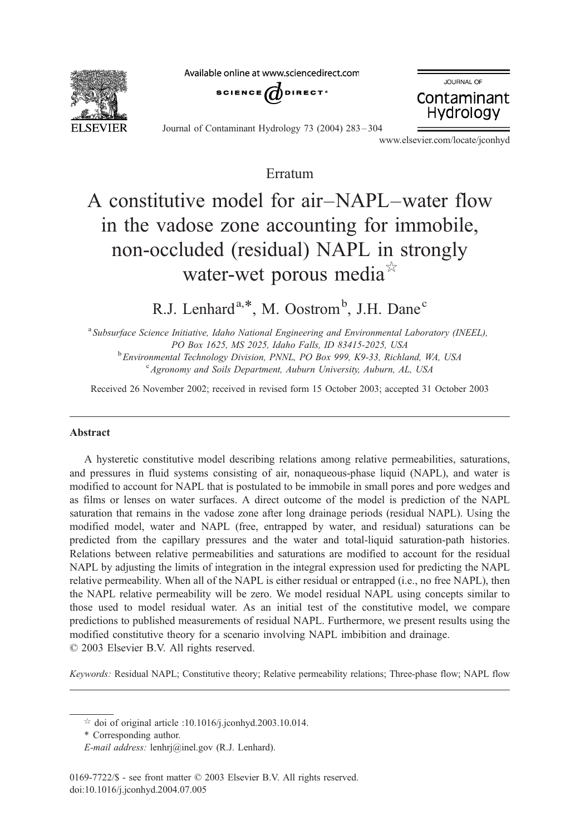Available online at www.sciencedirect.com



SCIENCE  $\omega$  direct<sup>\*</sup>

**JOURNAL OF** Contaminant Hydrology

Journal of Contaminant Hydrology 73 (2004) 283 – 304

www.elsevier.com/locate/jconhyd

Erratum

# A constitutive model for air–NAPL–water flow in the vadose zone accounting for immobile, non-occluded (residual) NAPL in strongly water-wet porous media $\mathbb{R}$

R.J. Lenhard<sup>a,\*</sup>, M. Oostrom<sup>b</sup>, J.H. Dane<sup>c</sup>

<sup>a</sup> Subsurface Science Initiative, Idaho National Engineering and Environmental Laboratory (INEEL), PO Box 1625, MS 2025, Idaho Falls, ID 83415-2025, USA <sup>b</sup>Environmental Technology Division, PNNL, PO Box 999, K9-33, Richland, WA, USA <sup>c</sup> Agronomy and Soils Department, Auburn University, Auburn, AL, USA

Received 26 November 2002; received in revised form 15 October 2003; accepted 31 October 2003

# Abstract

A hysteretic constitutive model describing relations among relative permeabilities, saturations, and pressures in fluid systems consisting of air, nonaqueous-phase liquid (NAPL), and water is modified to account for NAPL that is postulated to be immobile in small pores and pore wedges and as films or lenses on water surfaces. A direct outcome of the model is prediction of the NAPL saturation that remains in the vadose zone after long drainage periods (residual NAPL). Using the modified model, water and NAPL (free, entrapped by water, and residual) saturations can be predicted from the capillary pressures and the water and total-liquid saturation-path histories. Relations between relative permeabilities and saturations are modified to account for the residual NAPL by adjusting the limits of integration in the integral expression used for predicting the NAPL relative permeability. When all of the NAPL is either residual or entrapped (i.e., no free NAPL), then the NAPL relative permeability will be zero. We model residual NAPL using concepts similar to those used to model residual water. As an initial test of the constitutive model, we compare predictions to published measurements of residual NAPL. Furthermore, we present results using the modified constitutive theory for a scenario involving NAPL imbibition and drainage.  $\odot$  2003 Elsevier B.V. All rights reserved.

Keywords: Residual NAPL; Constitutive theory; Relative permeability relations; Three-phase flow; NAPL flow

 $\star$  doi of original article :10.1016/j.jconhyd.2003.10.014.

<sup>\*</sup> Corresponding author.

E-mail address: lenhrj@inel.gov (R.J. Lenhard).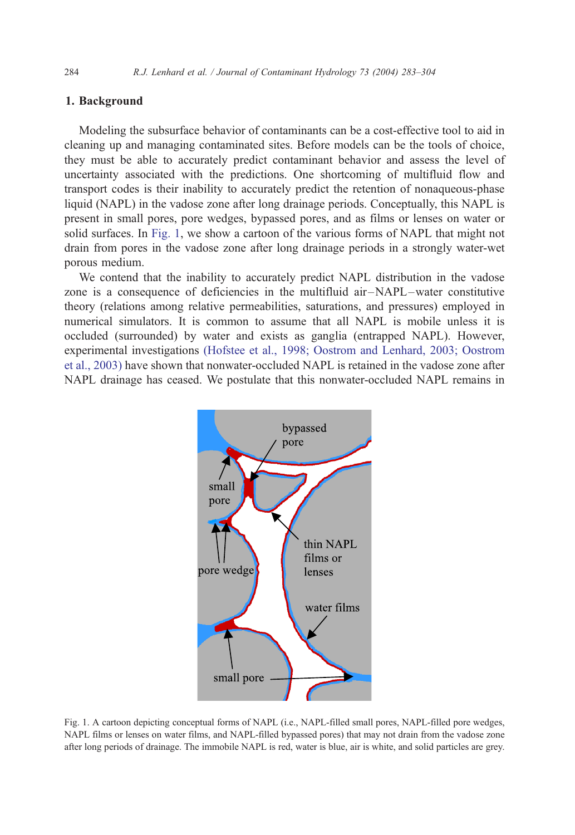# <span id="page-1-0"></span>1. Background

Modeling the subsurface behavior of contaminants can be a cost-effective tool to aid in cleaning up and managing contaminated sites. Before models can be the tools of choice, they must be able to accurately predict contaminant behavior and assess the level of uncertainty associated with the predictions. One shortcoming of multifluid flow and transport codes is their inability to accurately predict the retention of nonaqueous-phase liquid (NAPL) in the vadose zone after long drainage periods. Conceptually, this NAPL is present in small pores, pore wedges, bypassed pores, and as films or lenses on water or solid surfaces. In Fig. 1, we show a cartoon of the various forms of NAPL that might not drain from pores in the vadose zone after long drainage periods in a strongly water-wet porous medium.

We contend that the inability to accurately predict NAPL distribution in the vadose zone is a consequence of deficiencies in the multifluid air –NAPL –water constitutive theory (relations among relative permeabilities, saturations, and pressures) employed in numerical simulators. It is common to assume that all NAPL is mobile unless it is occluded (surrounded) by water and exists as ganglia (entrapped NAPL). However, experimental investigations [\(Hofstee et al., 1998; Oostrom and Lenhard, 2003; Oostrom](#page-20-0) et al., 2003) have shown that nonwater-occluded NAPL is retained in the vadose zone after NAPL drainage has ceased. We postulate that this nonwater-occluded NAPL remains in



Fig. 1. A cartoon depicting conceptual forms of NAPL (i.e., NAPL-filled small pores, NAPL-filled pore wedges, NAPL films or lenses on water films, and NAPL-filled bypassed pores) that may not drain from the vadose zone after long periods of drainage. The immobile NAPL is red, water is blue, air is white, and solid particles are grey.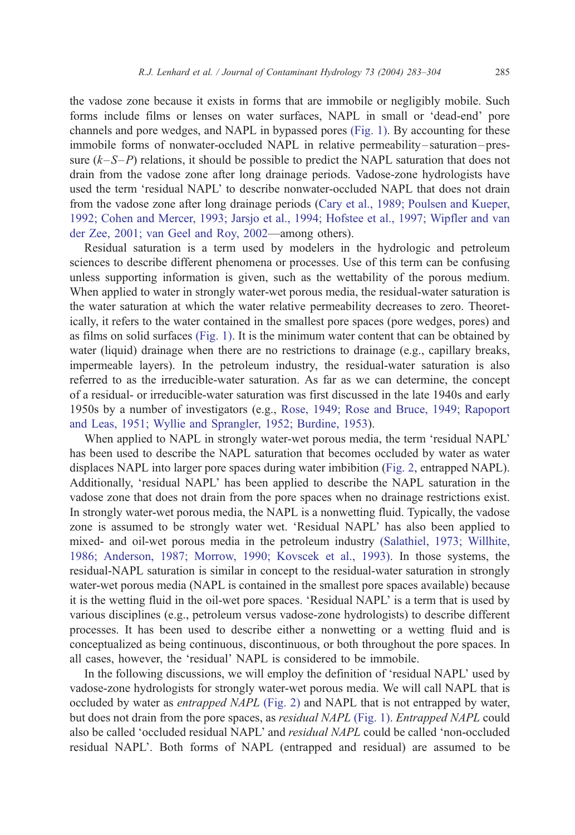the vadose zone because it exists in forms that are immobile or negligibly mobile. Such forms include films or lenses on water surfaces, NAPL in small or 'dead-end' pore channels and pore wedges, and NAPL in bypassed pores [\(Fig. 1\).](#page-1-0) By accounting for these immobile forms of nonwater-occluded NAPL in relative permeability – saturation – pressure  $(k-S-P)$  relations, it should be possible to predict the NAPL saturation that does not drain from the vadose zone after long drainage periods. Vadose-zone hydrologists have used the term 'residual NAPL' to describe nonwater-occluded NAPL that does not drain from the vadose zone after long drainage periods ([Cary et al., 1989; Poulsen and Kueper,](#page-20-0) 1992; Cohen and Mercer, 1993; Jarsjo et al., 1994; Hofstee et al., 1997; Wipfler and van der Zee, 2001; van Geel and Roy, 2002—among others).

Residual saturation is a term used by modelers in the hydrologic and petroleum sciences to describe different phenomena or processes. Use of this term can be confusing unless supporting information is given, such as the wettability of the porous medium. When applied to water in strongly water-wet porous media, the residual-water saturation is the water saturation at which the water relative permeability decreases to zero. Theoretically, it refers to the water contained in the smallest pore spaces (pore wedges, pores) and as films on solid surfaces [\(Fig. 1\).](#page-1-0) It is the minimum water content that can be obtained by water (liquid) drainage when there are no restrictions to drainage (e.g., capillary breaks, impermeable layers). In the petroleum industry, the residual-water saturation is also referred to as the irreducible-water saturation. As far as we can determine, the concept of a residual- or irreducible-water saturation was first discussed in the late 1940s and early 1950s by a number of investigators (e.g., [Rose, 1949; Rose and Bruce, 1949; Rapoport](#page-21-0) and Leas, 1951; Wyllie and Sprangler, 1952; Burdine, 1953).

When applied to NAPL in strongly water-wet porous media, the term 'residual NAPL' has been used to describe the NAPL saturation that becomes occluded by water as water displaces NAPL into larger pore spaces during water imbibition ([Fig. 2,](#page-3-0) entrapped NAPL). Additionally, 'residual NAPL' has been applied to describe the NAPL saturation in the vadose zone that does not drain from the pore spaces when no drainage restrictions exist. In strongly water-wet porous media, the NAPL is a nonwetting fluid. Typically, the vadose zone is assumed to be strongly water wet. 'Residual NAPL' has also been applied to mixed- and oil-wet porous media in the petroleum industry [\(Salathiel, 1973; Willhite,](#page-21-0) 1986; Anderson, 1987; Morrow, 1990; Kovscek et al., 1993). In those systems, the residual-NAPL saturation is similar in concept to the residual-water saturation in strongly water-wet porous media (NAPL is contained in the smallest pore spaces available) because it is the wetting fluid in the oil-wet pore spaces. 'Residual NAPL' is a term that is used by various disciplines (e.g., petroleum versus vadose-zone hydrologists) to describe different processes. It has been used to describe either a nonwetting or a wetting fluid and is conceptualized as being continuous, discontinuous, or both throughout the pore spaces. In all cases, however, the 'residual' NAPL is considered to be immobile.

In the following discussions, we will employ the definition of 'residual NAPL' used by vadose-zone hydrologists for strongly water-wet porous media. We will call NAPL that is occluded by water as entrapped NAPL [\(Fig. 2\)](#page-3-0) and NAPL that is not entrapped by water, but does not drain from the pore spaces, as *residual NAPL* [\(Fig. 1\).](#page-1-0) *Entrapped NAPL* could also be called 'occluded residual NAPL' and residual NAPL could be called 'non-occluded residual NAPL'. Both forms of NAPL (entrapped and residual) are assumed to be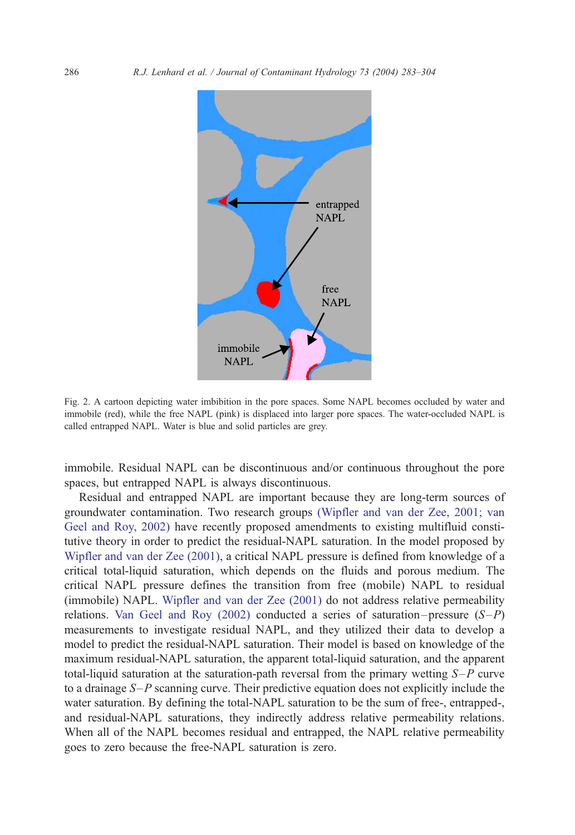<span id="page-3-0"></span>

Fig. 2. A cartoon depicting water imbibition in the pore spaces. Some NAPL becomes occluded by water and immobile (red), while the free NAPL (pink) is displaced into larger pore spaces. The water-occluded NAPL is called entrapped NAPL. Water is blue and solid particles are grey.

immobile. Residual NAPL can be discontinuous and/or continuous throughout the pore spaces, but entrapped NAPL is always discontinuous.

Residual and entrapped NAPL are important because they are long-term sources of groundwater contamination. Two research groups [\(Wipfler and van der Zee, 2001; van](#page-21-0) Geel and Roy, 2002) have recently proposed amendments to existing multifluid constitutive theory in order to predict the residual-NAPL saturation. In the model proposed by [Wipfler and van der Zee \(2001\),](#page-21-0) a critical NAPL pressure is defined from knowledge of a critical total-liquid saturation, which depends on the fluids and porous medium. The critical NAPL pressure defines the transition from free (mobile) NAPL to residual (immobile) NAPL. [Wipfler and van der Zee \(2001\)](#page-21-0) do not address relative permeability relations. [Van Geel and Roy \(2002\)](#page-21-0) conducted a series of saturation–pressure  $(S-P)$ measurements to investigate residual NAPL, and they utilized their data to develop a model to predict the residual-NAPL saturation. Their model is based on knowledge of the maximum residual-NAPL saturation, the apparent total-liquid saturation, and the apparent total-liquid saturation at the saturation-path reversal from the primary wetting  $S-P$  curve to a drainage  $S-P$  scanning curve. Their predictive equation does not explicitly include the water saturation. By defining the total-NAPL saturation to be the sum of free-, entrapped-, and residual-NAPL saturations, they indirectly address relative permeability relations. When all of the NAPL becomes residual and entrapped, the NAPL relative permeability goes to zero because the free-NAPL saturation is zero.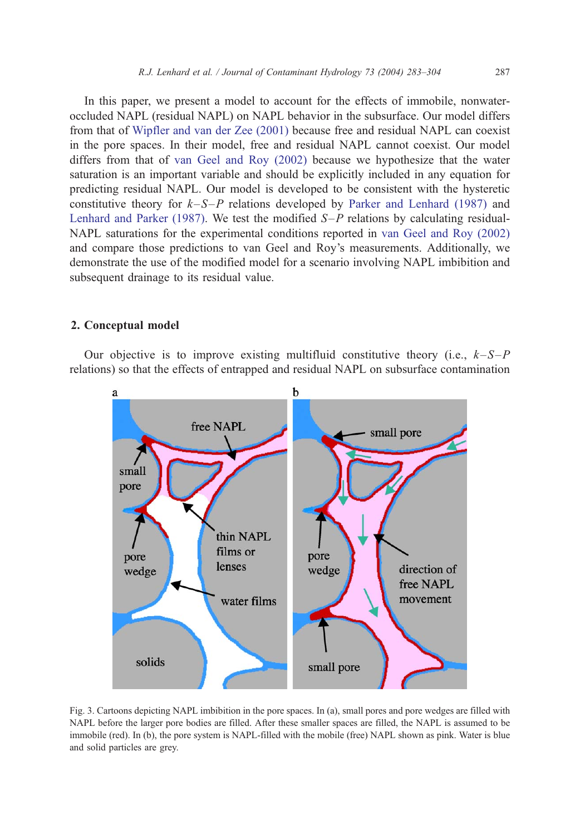<span id="page-4-0"></span>In this paper, we present a model to account for the effects of immobile, nonwateroccluded NAPL (residual NAPL) on NAPL behavior in the subsurface. Our model differs from that of [Wipfler and van der Zee \(2001\)](#page-21-0) because free and residual NAPL can coexist in the pore spaces. In their model, free and residual NAPL cannot coexist. Our model differs from that of [van Geel and Roy \(2002\)](#page-21-0) because we hypothesize that the water saturation is an important variable and should be explicitly included in any equation for predicting residual NAPL. Our model is developed to be consistent with the hysteretic constitutive theory for  $k-S-P$  relations developed by [Parker and Lenhard \(1987\)](#page-21-0) and [Lenhard and Parker \(1987\).](#page-21-0) We test the modified  $S-P$  relations by calculating residual-NAPL saturations for the experimental conditions reported in [van Geel and Roy \(2002\)](#page-21-0) and compare those predictions to van Geel and Roy's measurements. Additionally, we demonstrate the use of the modified model for a scenario involving NAPL imbibition and subsequent drainage to its residual value.

#### 2. Conceptual model

Our objective is to improve existing multifluid constitutive theory (i.e.,  $k-S-P$ relations) so that the effects of entrapped and residual NAPL on subsurface contamination



Fig. 3. Cartoons depicting NAPL imbibition in the pore spaces. In (a), small pores and pore wedges are filled with NAPL before the larger pore bodies are filled. After these smaller spaces are filled, the NAPL is assumed to be immobile (red). In (b), the pore system is NAPL-filled with the mobile (free) NAPL shown as pink. Water is blue and solid particles are grey.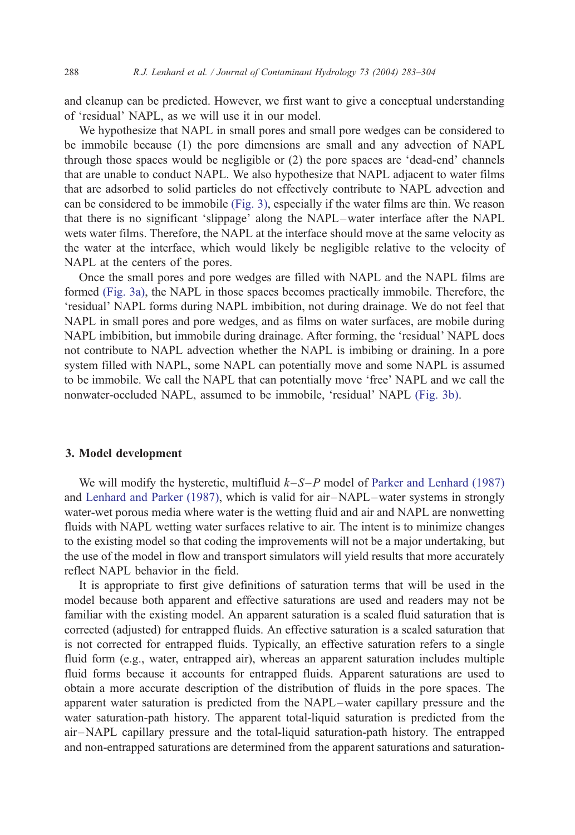and cleanup can be predicted. However, we first want to give a conceptual understanding of 'residual' NAPL, as we will use it in our model.

We hypothesize that NAPL in small pores and small pore wedges can be considered to be immobile because (1) the pore dimensions are small and any advection of NAPL through those spaces would be negligible or (2) the pore spaces are 'dead-end' channels that are unable to conduct NAPL. We also hypothesize that NAPL adjacent to water films that are adsorbed to solid particles do not effectively contribute to NAPL advection and can be considered to be immobile [\(Fig. 3\),](#page-4-0) especially if the water films are thin. We reason that there is no significant 'slippage' along the NAPL –water interface after the NAPL wets water films. Therefore, the NAPL at the interface should move at the same velocity as the water at the interface, which would likely be negligible relative to the velocity of NAPL at the centers of the pores.

Once the small pores and pore wedges are filled with NAPL and the NAPL films are formed [\(Fig. 3a\)](#page-4-0), the NAPL in those spaces becomes practically immobile. Therefore, the 'residual' NAPL forms during NAPL imbibition, not during drainage. We do not feel that NAPL in small pores and pore wedges, and as films on water surfaces, are mobile during NAPL imbibition, but immobile during drainage. After forming, the 'residual' NAPL does not contribute to NAPL advection whether the NAPL is imbibing or draining. In a pore system filled with NAPL, some NAPL can potentially move and some NAPL is assumed to be immobile. We call the NAPL that can potentially move 'free' NAPL and we call the nonwater-occluded NAPL, assumed to be immobile, 'residual' NAPL [\(Fig. 3b\).](#page-4-0)

#### 3. Model development

We will modify the hysteretic, multifluid  $k-S-P$  model of [Parker and Lenhard \(1987\)](#page-21-0) and [Lenhard and Parker \(1987\),](#page-21-0) which is valid for air –NAPL –water systems in strongly water-wet porous media where water is the wetting fluid and air and NAPL are nonwetting fluids with NAPL wetting water surfaces relative to air. The intent is to minimize changes to the existing model so that coding the improvements will not be a major undertaking, but the use of the model in flow and transport simulators will yield results that more accurately reflect NAPL behavior in the field.

It is appropriate to first give definitions of saturation terms that will be used in the model because both apparent and effective saturations are used and readers may not be familiar with the existing model. An apparent saturation is a scaled fluid saturation that is corrected (adjusted) for entrapped fluids. An effective saturation is a scaled saturation that is not corrected for entrapped fluids. Typically, an effective saturation refers to a single fluid form (e.g., water, entrapped air), whereas an apparent saturation includes multiple fluid forms because it accounts for entrapped fluids. Apparent saturations are used to obtain a more accurate description of the distribution of fluids in the pore spaces. The apparent water saturation is predicted from the NAPL –water capillary pressure and the water saturation-path history. The apparent total-liquid saturation is predicted from the air –NAPL capillary pressure and the total-liquid saturation-path history. The entrapped and non-entrapped saturations are determined from the apparent saturations and saturation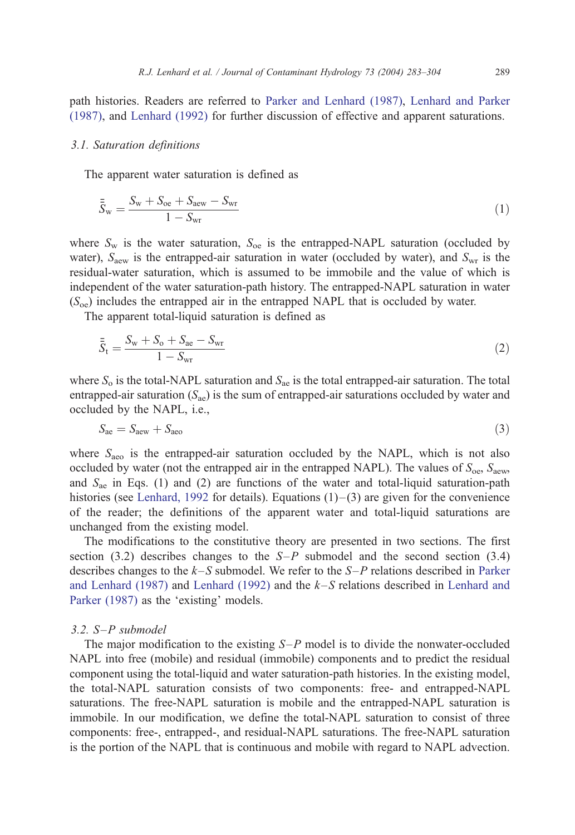path histories. Readers are referred to [Parker and Lenhard \(1987\),](#page-21-0) [Lenhard and Parker](#page-21-0) (1987), and [Lenhard \(1992\)](#page-21-0) for further discussion of effective and apparent saturations.

#### 3.1. Saturation definitions

The apparent water saturation is defined as

$$
\bar{\bar{S}}_{w} = \frac{S_{w} + S_{oe} + S_{aew} - S_{wr}}{1 - S_{wr}}
$$
\n(1)

where  $S_w$  is the water saturation,  $S_{oe}$  is the entrapped-NAPL saturation (occluded by water),  $S_{\text{aew}}$  is the entrapped-air saturation in water (occluded by water), and  $S_{\text{wr}}$  is the residual-water saturation, which is assumed to be immobile and the value of which is independent of the water saturation-path history. The entrapped-NAPL saturation in water  $(S<sub>oe</sub>)$  includes the entrapped air in the entrapped NAPL that is occluded by water.

The apparent total-liquid saturation is defined as

$$
\overline{\overline{S}}_t = \frac{S_w + S_o + S_{ae} - S_{wr}}{1 - S_{wr}}\tag{2}
$$

where  $S_0$  is the total-NAPL saturation and  $S_{ac}$  is the total entrapped-air saturation. The total entrapped-air saturation  $(S_{ac})$  is the sum of entrapped-air saturations occluded by water and occluded by the NAPL, i.e.,

$$
S_{\text{ae}} = S_{\text{aew}} + S_{\text{aeo}} \tag{3}
$$

where  $S_{\text{aco}}$  is the entrapped-air saturation occluded by the NAPL, which is not also occluded by water (not the entrapped air in the entrapped NAPL). The values of  $S_{\text{oe}}$ ,  $S_{\text{aew}}$ , and  $S_{\text{ae}}$  in Eqs. (1) and (2) are functions of the water and total-liquid saturation-path histories (see [Lenhard, 1992](#page-21-0) for details). Equations  $(1)$  – $(3)$  are given for the convenience of the reader; the definitions of the apparent water and total-liquid saturations are unchanged from the existing model.

The modifications to the constitutive theory are presented in two sections. The first section (3.2) describes changes to the  $S-P$  submodel and the second section (3.4) describes changes to the  $k-S$  submodel. We refer to the  $S-P$  relations described in [Parker](#page-21-0) and Lenhard (1987) and [Lenhard \(1992\)](#page-21-0) and the  $k-S$  relations described in [Lenhard and](#page-21-0) Parker (1987) as the 'existing' models.

# $3.2. S-P submodel$

The major modification to the existing  $S-P$  model is to divide the nonwater-occluded NAPL into free (mobile) and residual (immobile) components and to predict the residual component using the total-liquid and water saturation-path histories. In the existing model, the total-NAPL saturation consists of two components: free- and entrapped-NAPL saturations. The free-NAPL saturation is mobile and the entrapped-NAPL saturation is immobile. In our modification, we define the total-NAPL saturation to consist of three components: free-, entrapped-, and residual-NAPL saturations. The free-NAPL saturation is the portion of the NAPL that is continuous and mobile with regard to NAPL advection.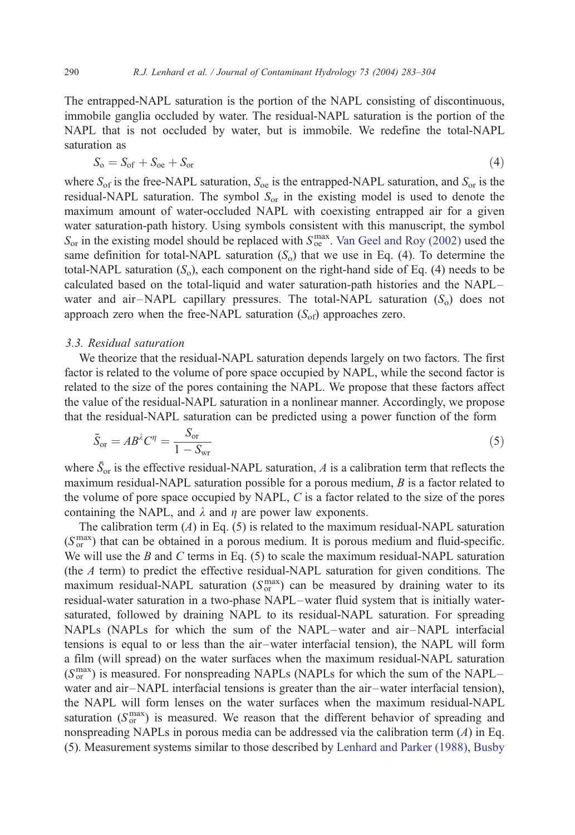The entrapped-NAPL saturation is the portion of the NAPL consisting of discontinuous, immobile ganglia occluded by water. The residual-NAPL saturation is the portion of the NAPL that is not occluded by water, but is immobile. We redefine the total-NAPL saturation as

$$
S_0 = S_{\text{of}} + S_{\text{oe}} + S_{\text{or}} \tag{4}
$$

where  $S_{\text{of}}$  is the free-NAPL saturation,  $S_{\text{oe}}$  is the entrapped-NAPL saturation, and  $S_{\text{or}}$  is the residual-NAPL saturation. The symbol  $S_{\text{or}}$  in the existing model is used to denote the maximum amount of water-occluded NAPL with coexisting entrapped air for a given water saturation-path history. Using symbols consistent with this manuscript, the symbol  $S_{\text{or}}$  in the existing model should be replaced with  $S_{\text{oe}}^{\text{max}}$ . [Van Geel and Roy \(2002\)](#page-21-0) used the same definition for total-NAPL saturation  $(S_0)$  that we use in Eq. (4). To determine the total-NAPL saturation  $(S_0)$ , each component on the right-hand side of Eq. (4) needs to be calculated based on the total-liquid and water saturation-path histories and the NAPL – water and air-NAPL capillary pressures. The total-NAPL saturation  $(S_0)$  does not approach zero when the free-NAPL saturation  $(S_{of})$  approaches zero.

#### 3.3. Residual saturation

We theorize that the residual-NAPL saturation depends largely on two factors. The first factor is related to the volume of pore space occupied by NAPL, while the second factor is related to the size of the pores containing the NAPL. We propose that these factors affect the value of the residual-NAPL saturation in a nonlinear manner. Accordingly, we propose that the residual-NAPL saturation can be predicted using a power function of the form

$$
\bar{S}_{\text{or}} = AB^{\lambda}C^{\eta} = \frac{S_{\text{or}}}{1 - S_{\text{wr}}}
$$
\n(5)

where  $S_{\text{or}}$  is the effective residual-NAPL saturation, A is a calibration term that reflects the maximum residual-NAPL saturation possible for a porous medium,  $B$  is a factor related to the volume of pore space occupied by NAPL, C is a factor related to the size of the pores containing the NAPL, and  $\lambda$  and  $\eta$  are power law exponents.

The calibration term  $(A)$  in Eq. (5) is related to the maximum residual-NAPL saturation  $(S<sub>or</sub><sup>max</sup>)$  that can be obtained in a porous medium. It is porous medium and fluid-specific. We will use the B and C terms in Eq.  $(5)$  to scale the maximum residual-NAPL saturation (the A term) to predict the effective residual-NAPL saturation for given conditions. The maximum residual-NAPL saturation  $(S_{\text{or}}^{\text{max}})$  can be measured by draining water to its residual-water saturation in a two-phase NAPL –water fluid system that is initially watersaturated, followed by draining NAPL to its residual-NAPL saturation. For spreading NAPLs (NAPLs for which the sum of the NAPL-water and air-NAPL interfacial tensions is equal to or less than the air –water interfacial tension), the NAPL will form a film (will spread) on the water surfaces when the maximum residual-NAPL saturation  $(S_{\text{or}}^{\text{max}})$  is measured. For nonspreading NAPLs (NAPLs for which the sum of the NAPLwater and air-NAPL interfacial tensions is greater than the air-water interfacial tension), the NAPL will form lenses on the water surfaces when the maximum residual-NAPL saturation  $(S_{\text{or}}^{\text{max}})$  is measured. We reason that the different behavior of spreading and nonspreading NAPLs in porous media can be addressed via the calibration term (A) in Eq. (5). Measurement systems similar to those described by [Lenhard and Parker \(1988\),](#page-21-0) [Busby](#page-20-0)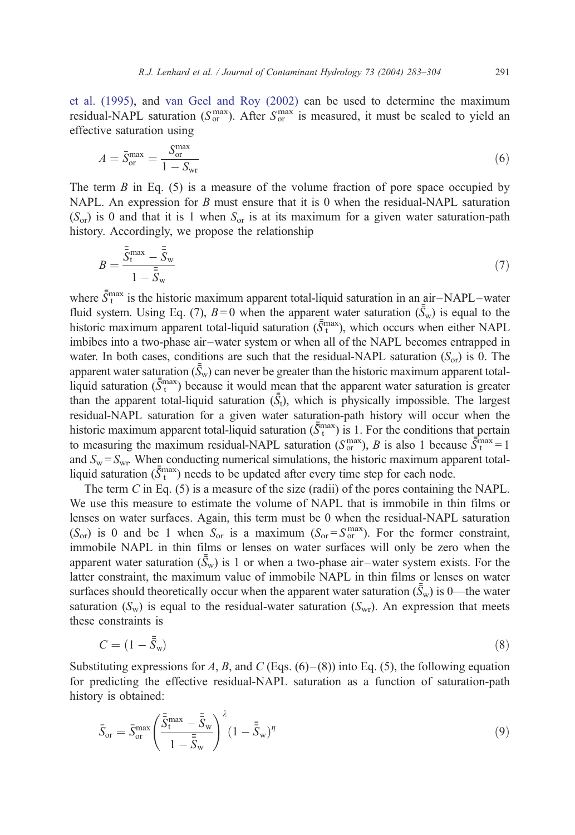et al. (1995), and [van Geel and Roy \(2002\)](#page-21-0) can be used to determine the maximum residual-NAPL saturation ( $S_{\text{or}}^{\text{max}}$ ). After  $S_{\text{or}}^{\text{max}}$  is measured, it must be scaled to yield an effective saturation using

$$
A = \bar{S}_{\text{or}}^{\text{max}} = \frac{S_{\text{or}}^{\text{max}}}{1 - S_{\text{wr}}} \tag{6}
$$

The term  $B$  in Eq. (5) is a measure of the volume fraction of pore space occupied by NAPL. An expression for B must ensure that it is 0 when the residual-NAPL saturation  $(S_{\text{or}})$  is 0 and that it is 1 when  $S_{\text{or}}$  is at its maximum for a given water saturation-path history. Accordingly, we propose the relationship

$$
B = \frac{\bar{\bar{S}}_t^{\text{max}} - \bar{\bar{S}}_w}{1 - \bar{\bar{S}}_w} \tag{7}
$$

where  $\bar{S}_{t}^{\text{max}}$  is the historic maximum apparent total-liquid saturation in an air-NAPL-water fluid system. Using Eq. (7),  $B=0$  when the apparent water saturation  $(\bar{S}_{w})$  is equal to the historic maximum apparent total-liquid saturation ( $\bar{S}_{t}^{max}$ ), which occurs when either NAPL imbibes into a two-phase air–water system or when all of the NAPL becomes entrapped in water. In both cases, conditions are such that the residual-NAPL saturation  $(S_{\text{or}})$  is 0. The apparent water saturation  $(\bar{S}_{w})$  can never be greater than the historic maximum apparent totalliquid saturation  $(\bar{S}_{t}^{\text{max}})$  because it would mean that the apparent water saturation is greater than the apparent total-liquid saturation  $(\bar{S}_t)$ , which is physically impossible. The largest residual-NAPL saturation for a given water saturation-path history will occur when the historic maximum apparent total-liquid saturation ( $\bar{S}^{\text{max}}_{t}$ ) is 1. For the conditions that pertain to measuring the maximum residual-NAPL saturation ( $S_{\text{or}}^{\text{max}}$ ), B is also 1 because  $\bar{S}_{\text{t}}^{\text{max}} = 1$ and  $S_w = S_{wr}$ . When conducting numerical simulations, the historic maximum apparent totalliquid saturation ( $\bar{S}^{\text{max}}_t$ ) needs to be updated after every time step for each node.

The term  $C$  in Eq. (5) is a measure of the size (radii) of the pores containing the NAPL. We use this measure to estimate the volume of NAPL that is immobile in thin films or lenses on water surfaces. Again, this term must be 0 when the residual-NAPL saturation  $(S_{\text{or}})$  is 0 and be 1 when  $S_{\text{or}}$  is a maximum  $(S_{\text{or}} = S_{\text{or}}^{\text{max}})$ . For the former constraint, immobile NAPL in thin films or lenses on water surfaces will only be zero when the apparent water saturation  $(\bar{S}_{w})$  is 1 or when a two-phase air-water system exists. For the latter constraint, the maximum value of immobile NAPL in thin films or lenses on water surfaces should theoretically occur when the apparent water saturation ( $\bar{\bar{S}}_{\rm w}$ ) is 0—the water saturation  $(S_w)$  is equal to the residual-water saturation  $(S_{wr})$ . An expression that meets these constraints is

$$
C = (1 - \bar{\bar{S}}_{\rm w})\tag{8}
$$

Substituting expressions for A, B, and C (Eqs.  $(6)$ – $(8)$ ) into Eq. (5), the following equation for predicting the effective residual-NAPL saturation as a function of saturation-path history is obtained:

$$
\bar{S}_{\rm or} = \bar{S}_{\rm or}^{\rm max} \left( \frac{\bar{\bar{S}}_{\rm t}^{\rm max} - \bar{\bar{S}}_{\rm w}}{1 - \bar{\bar{S}}_{\rm w}} \right)^{\lambda} (1 - \bar{\bar{S}}_{\rm w})^{\eta} \tag{9}
$$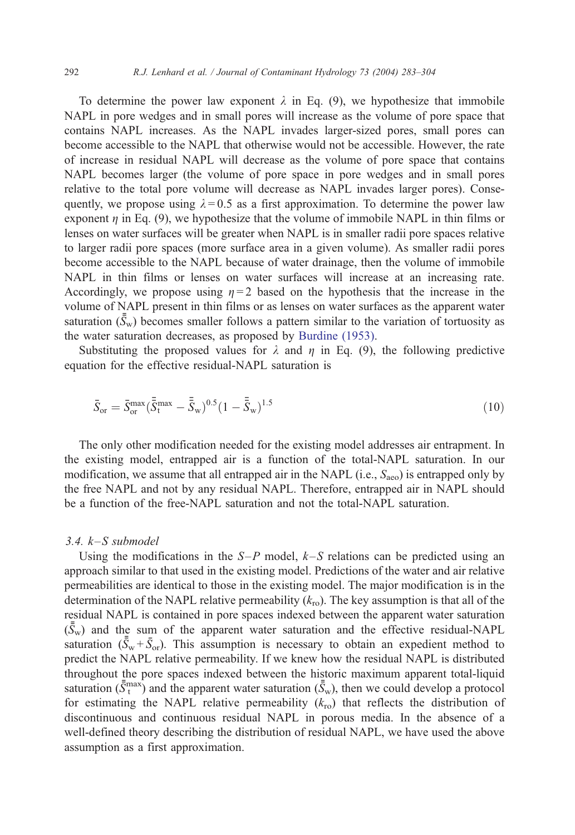To determine the power law exponent  $\lambda$  in Eq. (9), we hypothesize that immobile NAPL in pore wedges and in small pores will increase as the volume of pore space that contains NAPL increases. As the NAPL invades larger-sized pores, small pores can become accessible to the NAPL that otherwise would not be accessible. However, the rate of increase in residual NAPL will decrease as the volume of pore space that contains NAPL becomes larger (the volume of pore space in pore wedges and in small pores relative to the total pore volume will decrease as NAPL invades larger pores). Consequently, we propose using  $\lambda = 0.5$  as a first approximation. To determine the power law exponent  $\eta$  in Eq. (9), we hypothesize that the volume of immobile NAPL in thin films or lenses on water surfaces will be greater when NAPL is in smaller radii pore spaces relative to larger radii pore spaces (more surface area in a given volume). As smaller radii pores become accessible to the NAPL because of water drainage, then the volume of immobile NAPL in thin films or lenses on water surfaces will increase at an increasing rate. Accordingly, we propose using  $\eta = 2$  based on the hypothesis that the increase in the volume of NAPL present in thin films or as lenses on water surfaces as the apparent water saturation  $(\bar{S}_{w})$  becomes smaller follows a pattern similar to the variation of tortuosity as the water saturation decreases, as proposed by [Burdine \(1953\).](#page-20-0)

Substituting the proposed values for  $\lambda$  and  $\eta$  in Eq. (9), the following predictive equation for the effective residual-NAPL saturation is

$$
\bar{S}_{\rm or} = \bar{S}_{\rm or}^{\rm max} (\bar{\bar{S}}_{\rm t}^{\rm max} - \bar{\bar{S}}_{\rm w})^{0.5} (1 - \bar{\bar{S}}_{\rm w})^{1.5}
$$
\n(10)

The only other modification needed for the existing model addresses air entrapment. In the existing model, entrapped air is a function of the total-NAPL saturation. In our modification, we assume that all entrapped air in the NAPL (i.e.,  $S_{\text{aeo}}$ ) is entrapped only by the free NAPL and not by any residual NAPL. Therefore, entrapped air in NAPL should be a function of the free-NAPL saturation and not the total-NAPL saturation.

# $3.4. k-S submodel$

Using the modifications in the  $S-P$  model,  $k-S$  relations can be predicted using an approach similar to that used in the existing model. Predictions of the water and air relative permeabilities are identical to those in the existing model. The major modification is in the determination of the NAPL relative permeability  $(k_{\rm ro})$ . The key assumption is that all of the residual NAPL is contained in pore spaces indexed between the apparent water saturation  $(\bar{S}_{w})$  and the sum of the apparent water saturation and the effective residual-NAPL saturation  $(\bar{S}_{w} + \bar{S}_{or})$ . This assumption is necessary to obtain an expedient method to predict the NAPL relative permeability. If we knew how the residual NAPL is distributed throughout the pore spaces indexed between the historic maximum apparent total-liquid saturation ( $\bar{S}_{\tau}^{max}$ ) and the apparent water saturation ( $\bar{S}_{w}$ ), then we could develop a protocol for estimating the NAPL relative permeability  $(k_{\rm ro})$  that reflects the distribution of discontinuous and continuous residual NAPL in porous media. In the absence of a well-defined theory describing the distribution of residual NAPL, we have used the above assumption as a first approximation.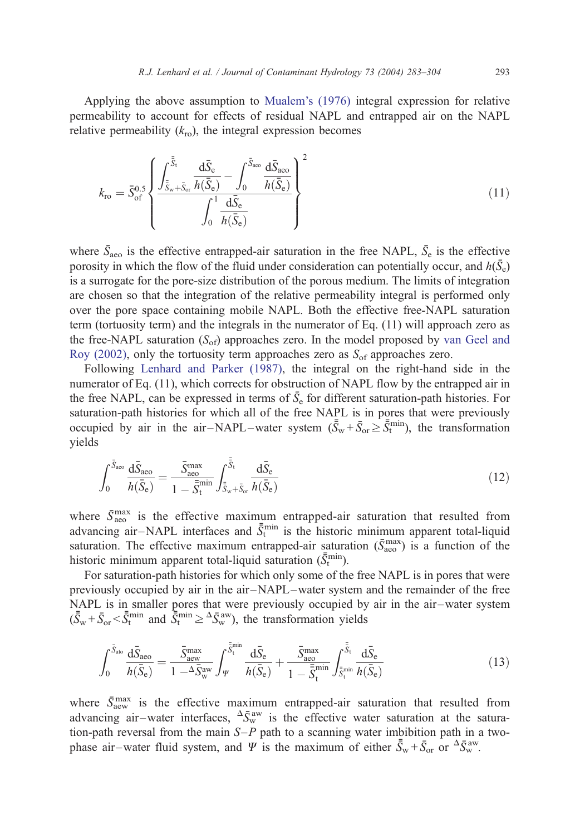Applying the above assumption to [Mualem's \(1976\)](#page-21-0) integral expression for relative permeability to account for effects of residual NAPL and entrapped air on the NAPL relative permeability  $(k_{\rm ro})$ , the integral expression becomes

$$
k_{\rm ro} = \bar{S}_{\rm of}^{0.5} \left\{ \frac{\int_{\bar{\bar{S}}_{\rm v} + \bar{S}_{\rm or}}^{\bar{\bar{S}}_{\rm t}} \frac{d\bar{S}_{\rm e}}{h(\bar{S}_{\rm e})} - \int_{0}^{\bar{S}_{\rm aco}} \frac{d\bar{S}_{\rm aco}}{h(\bar{S}_{\rm e})} \right\}^2 \tag{11}
$$

where  $\bar{S}_{\text{aeo}}$  is the effective entrapped-air saturation in the free NAPL,  $\bar{S}_{\text{e}}$  is the effective porosity in which the flow of the fluid under consideration can potentially occur, and  $h(\bar{S}_{e})$ is a surrogate for the pore-size distribution of the porous medium. The limits of integration are chosen so that the integration of the relative permeability integral is performed only over the pore space containing mobile NAPL. Both the effective free-NAPL saturation term (tortuosity term) and the integrals in the numerator of Eq. (11) will approach zero as the free-NAPL saturation  $(S_{of})$  approaches zero. In the model proposed by [van Geel and](#page-21-0) Roy (2002), only the tortuosity term approaches zero as  $S_{\rm of}$  approaches zero.

Following [Lenhard and Parker \(1987\),](#page-21-0) the integral on the right-hand side in the numerator of Eq. (11), which corrects for obstruction of NAPL flow by the entrapped air in the free NAPL, can be expressed in terms of  $\bar{S}_e$  for different saturation-path histories. For saturation-path histories for which all of the free NAPL is in pores that were previously occupied by air in the air-NAPL-water system  $(\bar{S}_{w} + \bar{S}_{or} \ge \bar{S}_{t}^{min})$ , the transformation yields

$$
\int_0^{\bar{S}_{\text{aeo}}}\frac{d\bar{S}_{\text{aeo}}}{h(\bar{S}_{\text{e}})} = \frac{\bar{S}_{\text{aeo}}^{\text{max}}}{1 - \bar{S}_{\text{t}}^{\text{min}}}\int_{\bar{S}_{\text{w}}+\bar{S}_{\text{or}}}^{\bar{\bar{S}}_{\text{t}}}\frac{d\bar{S}_{\text{e}}}{h(\bar{S}_{\text{e}})}
$$
(12)

where  $\bar{S}_{\text{aeo}}^{\text{max}}$  is the effective maximum entrapped-air saturation that resulted from advancing air-NAPL interfaces and  $\bar{S}_{t}^{\min}$  is the historic minimum apparent total-liquid saturation. The effective maximum entrapped-air saturation  $(\bar{S}_{\text{aeo}}^{\text{max}})$  is a function of the historic minimum apparent total-liquid saturation  $(\bar{S}_{t}^{\min})$ .

For saturation-path histories for which only some of the free NAPL is in pores that were previously occupied by air in the air –NAPL –water system and the remainder of the free NAPL is in smaller pores that were previously occupied by air in the air-water system  $(\bar{S}_{w} + \bar{S}_{or} < \bar{S}_{t}^{min}$  and  $\bar{S}_{t}^{min} \ge \Delta \bar{S}_{w}^{av}$ , the transformation yields

$$
\int_0^{\bar{S}_{\text{ato}}}\frac{d\bar{S}_{\text{aeo}}}{h(\bar{S}_{\text{e}})} = \frac{\bar{S}_{\text{aew}}^{\text{max}}}{1 - \Delta\bar{S}_{\text{w}}^{\text{av}}} \int_{\Psi}^{\bar{\bar{S}}_{\text{t}}^{\text{min}}} \frac{d\bar{S}_{\text{e}}}{h(\bar{S}_{\text{e}})} + \frac{\bar{S}_{\text{aeo}}^{\text{max}}}{1 - \bar{\bar{S}}_{\text{t}}^{\text{min}}} \int_{\bar{\bar{S}}_{\text{t}}^{\text{min}}}^{\bar{\bar{S}}_{\text{t}}} \frac{d\bar{S}_{\text{e}}}{h(\bar{S}_{\text{e}})}
$$
(13)

where  $\bar{S}_{\text{aew}}^{\text{max}}$  is the effective maximum entrapped-air saturation that resulted from advancing air-water interfaces,  $\Delta \bar{S}_{w}^{aw}$  is the effective water saturation at the saturation-path reversal from the main  $S-P$  path to a scanning water imbibition path in a twophase air–water fluid system, and  $\Psi$  is the maximum of either  $\bar{S}_{w} + \bar{S}_{or}$  or  ${}^{\Delta}S_{w}^{aw}$ .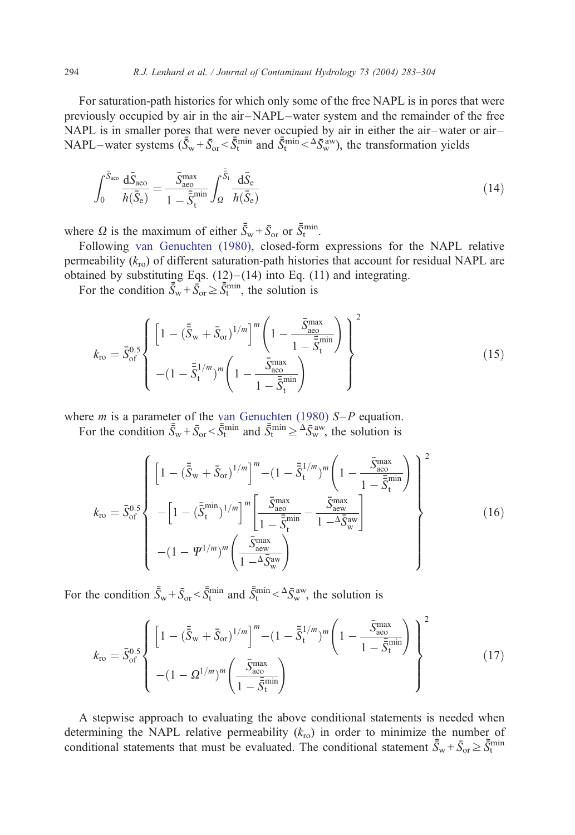For saturation-path histories for which only some of the free NAPL is in pores that were previously occupied by air in the air-NAPL-water system and the remainder of the free NAPL is in smaller pores that were never occupied by air in either the air-water or air-NAPL-water systems  $(\bar{S}_{w} + \bar{S}_{or} < \bar{S}_{t}^{min}$  and  $\bar{S}_{t}^{min} < \Delta \bar{S}_{w}^{aw}$ ), the transformation yields

$$
\int_0^{\bar{S}_{\text{aeo}}}\frac{\mathrm{d}\bar{S}_{\text{aeo}}}{h(\bar{S}_{\text{e}})} = \frac{\bar{S}_{\text{aeo}}^{\text{max}}}{1 - \bar{\bar{S}}_t^{\text{min}}} \int_0^{\bar{\bar{S}}_t} \frac{\mathrm{d}\bar{S}_{\text{e}}}{h(\bar{S}_{\text{e}})}
$$
(14)

where  $\Omega$  is the maximum of either  $\bar{S}_{w} + \bar{S}_{or}$  or  $\bar{S}_{t}^{min}$ .

Following [van Genuchten \(1980\),](#page-21-0) closed-form expressions for the NAPL relative permeability  $(k_{\rm ro})$  of different saturation-path histories that account for residual NAPL are obtained by substituting Eqs.  $(12)$  – $(14)$  into Eq.  $(11)$  and integrating.

For the condition  $\bar{S}_{w} + \bar{S}_{or} \ge \bar{S}_{t}^{min}$ , the solution is

$$
k_{\rm ro} = \bar{S}_{\rm of}^{0.5} \left\{ \begin{bmatrix} 1 - (\bar{\bar{S}}_{\rm w} + \bar{S}_{\rm or})^{1/m} \end{bmatrix}^m \left( 1 - \frac{\bar{S}_{\rm aeo}^{\rm max}}{1 - \bar{\bar{S}}_{\rm t}^{\rm min}} \right) \\\ - (1 - \bar{\bar{S}}_{\rm t}^{1/m})^m \left( 1 - \frac{\bar{S}_{\rm aeo}^{\rm max}}{1 - \bar{\bar{S}}_{\rm t}^{\rm min}} \right) \end{bmatrix}^2 \right\} \tag{15}
$$

where  $m$  is a parameter of the [van Genuchten \(1980\)](#page-21-0)  $S-P$  equation.

For the condition  $\bar{S}_{w} + \bar{S}_{or} < \bar{S}_{t}^{\min}$  and  $\bar{S}_{t}^{\min} \geq {}^{\Delta} \bar{S}_{w}^{\text{aw}}$ , the solution is

$$
k_{\rm ro} = \bar{S}_{\rm of}^{0.5} \left\{ \begin{bmatrix} 1 - (\bar{\bar{S}}_{\rm w} + \bar{S}_{\rm or})^{1/m} \end{bmatrix}^m - (1 - \bar{\bar{S}}_{\rm t}^{1/m})^m \left( 1 - \frac{\bar{S}_{\rm aco}^{\rm max}}{1 - \bar{\bar{S}}_{\rm t}^{\rm min}} \right) \\ - \left[ 1 - (\bar{\bar{S}}_{\rm t}^{\rm min})^{1/m} \right]^m \left[ \frac{\bar{S}_{\rm aco}^{\rm max}}{1 - \bar{\bar{S}}_{\rm t}^{\rm min}} - \frac{\bar{S}_{\rm aev}^{\rm max}}{1 - \bar{\Delta} \bar{S}_{\rm w}^{\rm max}} \right] \\ - (1 - \Psi^{1/m})^m \left( \frac{\bar{S}_{\rm aev}^{\rm max}}{1 - \bar{\Delta} \bar{S}_{\rm w}^{\rm max}} \right) \end{bmatrix} \right\} \tag{16}
$$

For the condition  $\bar{S}_{w} + \bar{S}_{or} < \bar{S}_{t}^{\min}$  and  $\bar{S}_{t}^{\min} < \Delta S_{w}^{\text{aw}}$ , the solution is

$$
k_{\rm ro} = \bar{S}_{\rm of}^{0.5} \left\{ \begin{bmatrix} 1 - (\bar{\bar{S}}_{\rm w} + \bar{S}_{\rm or})^{1/m} \end{bmatrix}^m - (1 - \bar{\bar{S}}_{\rm t}^{1/m})^m \left( 1 - \frac{\bar{S}_{\rm aeo}^{\rm max}}{1 - \bar{\bar{S}}_{\rm t}^{\rm min}} \right) \\ - (1 - \Omega^{1/m})^m \left( \frac{\bar{S}_{\rm aeo}^{\rm max}}{1 - \bar{\bar{S}}_{\rm t}^{\rm min}} \right) \end{bmatrix}^2 \right\} \tag{17}
$$

A stepwise approach to evaluating the above conditional statements is needed when determining the NAPL relative permeability  $(k_{\rm ro})$  in order to minimize the number of conditional statements that must be evaluated. The conditional statement  $\bar{S}_{w} + \bar{S}_{or} \ge \bar{S}_{t}^{min}$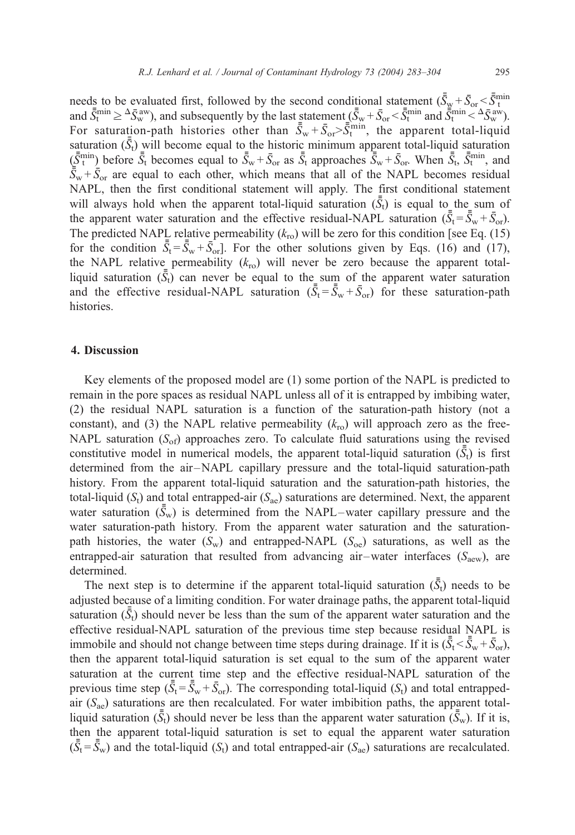needs to be evaluated first, followed by the second conditional statement  $(\bar{\bar{S}}_w + \bar{S}_{or} < \bar{\bar{S}}_t^{min}$ and  $\bar{S}_{\text{t}}^{\min} \ge \Delta \bar{S}_{\text{w}}^{\text{aw}}$ ), and subsequently by the last statement  $\bar{S}_{\text{w}} + \bar{S}_{\text{or}} < \bar{S}_{\text{t}}^{\min}$  and  $\bar{S}_{\text{t}}^{\min} < \Delta \bar{S}_{\text{w}}^{\min}$ ). For saturation-path histories other than  $\bar{S}_{w} + \bar{S}_{or} > \bar{S}_{t}^{\min}$ , the apparent total-liquid saturation  $(\bar{S}_t)$  will become equal to the historic minimum apparent total-liquid saturation  $(\bar{S}_{\tau}^{\min})$  before  $\bar{S}_{\tau}$  becomes equal to  $\bar{S}_{w} + \bar{S}_{or}$  as  $\bar{S}_{\tau}$  approaches  $\bar{S}_{w} + \bar{S}_{or}$ . When  $\bar{S}_{\tau}$ ,  $\bar{S}_{\tau}^{\min}$ , and  $\bar{\bar{S}}_{w} + \bar{S}_{or}$  are equal to each other, which means that all of the NAPL becomes residual NAPL, then the first conditional statement will apply. The first conditional statement will always hold when the apparent total-liquid saturation  $(\bar{S}_t)$  is equal to the sum of the apparent water saturation and the effective residual-NAPL saturation  $(\bar{S}_t = \bar{S}_{w} + \bar{S}_{or})$ . The predicted NAPL relative permeability  $(k_{\text{ro}})$  will be zero for this condition [see Eq. (15) for the condition  $\bar{S}_t = \bar{S}_{w} + \bar{S}_{or}$ ]. For the other solutions given by Eqs. (16) and (17), the NAPL relative permeability  $(k_{\rm ro})$  will never be zero because the apparent totalliquid saturation  $(\bar{S}_t)$  can never be equal to the sum of the apparent water saturation and the effective residual-NAPL saturation  $(\bar{S}_t = \bar{S}_w + \bar{S}_{or})$  for these saturation-path histories.

# 4. Discussion

Key elements of the proposed model are (1) some portion of the NAPL is predicted to remain in the pore spaces as residual NAPL unless all of it is entrapped by imbibing water, (2) the residual NAPL saturation is a function of the saturation-path history (not a constant), and (3) the NAPL relative permeability  $(k_{\rm ro})$  will approach zero as the free-NAPL saturation  $(S<sub>of</sub>)$  approaches zero. To calculate fluid saturations using the revised constitutive model in numerical models, the apparent total-liquid saturation  $(\bar{S}_t)$  is first determined from the air –NAPL capillary pressure and the total-liquid saturation-path history. From the apparent total-liquid saturation and the saturation-path histories, the total-liquid  $(S_t)$  and total entrapped-air  $(S_{ac})$  saturations are determined. Next, the apparent water saturation  $(\bar{S}_{w})$  is determined from the NAPL-water capillary pressure and the water saturation-path history. From the apparent water saturation and the saturationpath histories, the water  $(S_w)$  and entrapped-NAPL  $(S_{oe})$  saturations, as well as the entrapped-air saturation that resulted from advancing air-water interfaces  $(S_{\text{aew}})$ , are determined.

The next step is to determine if the apparent total-liquid saturation  $(\bar{S}_t)$  needs to be adjusted because of a limiting condition. For water drainage paths, the apparent total-liquid saturation  $(\bar{S}_t)$  should never be less than the sum of the apparent water saturation and the effective residual-NAPL saturation of the previous time step because residual NAPL is immobile and should not change between time steps during drainage. If it is  $(\bar{S}_t < \bar{S}_w + \bar{S}_{or})$ , then the apparent total-liquid saturation is set equal to the sum of the apparent water saturation at the current time step and the effective residual-NAPL saturation of the previous time step  $(\bar{S}_t = \bar{S}_w + \bar{S}_{or})$ . The corresponding total-liquid  $(S_t)$  and total entrappedair  $(S_{ae})$  saturations are then recalculated. For water imbibition paths, the apparent totalliquid saturation  $(\bar{S}_t)$  should never be less than the apparent water saturation  $(\bar{S}_w)$ . If it is, then the apparent total-liquid saturation is set to equal the apparent water saturation  $(\bar{S}_t = \bar{S}_w)$  and the total-liquid  $(S_t)$  and total entrapped-air  $(S_{ae})$  saturations are recalculated.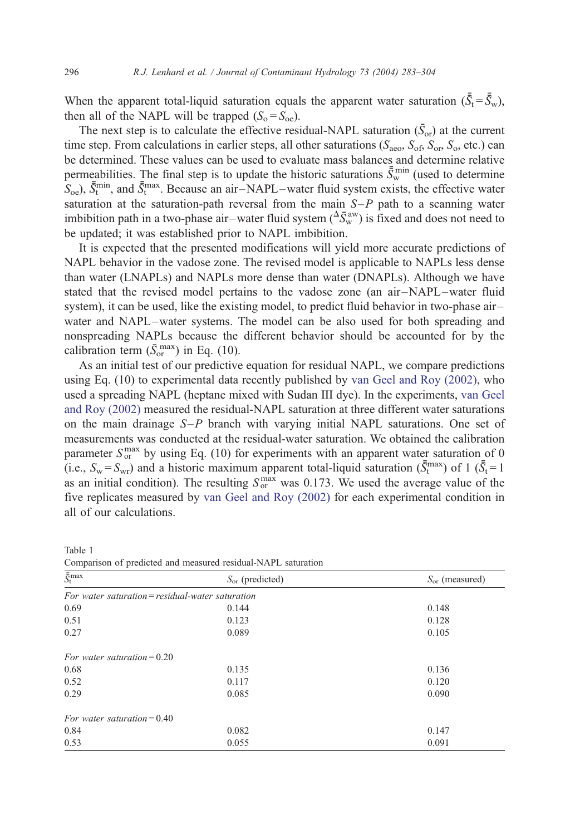<span id="page-13-0"></span>When the apparent total-liquid saturation equals the apparent water saturation  $(\bar{S}_t = \bar{S}_w)$ , then all of the NAPL will be trapped  $(S_o = S_{oe})$ .

The next step is to calculate the effective residual-NAPL saturation  $(\bar{S}_{or})$  at the current time step. From calculations in earlier steps, all other saturations ( $S_{\text{aeo}}$ ,  $S_{\text{of}}$ ,  $S_{\text{or}}$ ,  $S_{\text{o}}$ , etc.) can be determined. These values can be used to evaluate mass balances and determine relative permeabilities. The final step is to update the historic saturations  $\bar{S}_{w}^{\text{min}}$  (used to determine  $\bar{S}_{\text{oe}}$ ),  $\bar{S}_{t}^{\text{min}}$ , and  $\bar{S}_{t}^{\text{max}}$ . Because an air-NAPL-water fluid system exists, the effective water saturation at the saturation-path reversal from the main  $S-P$  path to a scanning water imbibition path in a two-phase air-water fluid system  $({}^{\Delta} \bar{S}_{w}^{aw})$  is fixed and does not need to be updated; it was established prior to NAPL imbibition.

It is expected that the presented modifications will yield more accurate predictions of NAPL behavior in the vadose zone. The revised model is applicable to NAPLs less dense than water (LNAPLs) and NAPLs more dense than water (DNAPLs). Although we have stated that the revised model pertains to the vadose zone (an air –NAPL –water fluid system), it can be used, like the existing model, to predict fluid behavior in two-phase airwater and NAPL-water systems. The model can be also used for both spreading and nonspreading NAPLs because the different behavior should be accounted for by the calibration term  $(\bar{S}_{or}^{max})$  in Eq. (10).

As an initial test of our predictive equation for residual NAPL, we compare predictions using Eq. (10) to experimental data recently published by [van Geel and Roy \(2002\),](#page-21-0) who used a spreading NAPL (heptane mixed with Sudan III dye). In the experiments, [van Geel](#page-21-0) and Roy (2002) measured the residual-NAPL saturation at three different water saturations on the main drainage  $S-P$  branch with varying initial NAPL saturations. One set of measurements was conducted at the residual-water saturation. We obtained the calibration parameter  $S_{\text{or}}^{\text{max}}$  by using Eq. (10) for experiments with an apparent water saturation of 0 (i.e.,  $S_w = S_{wr}$ ) and a historic maximum apparent total-liquid saturation ( $\bar{S}_{t}^{max}$ ) of 1 ( $\bar{S}_{t} = 1$ ) as an initial condition). The resulting  $S_{\text{or}}^{\text{max}}$  was 0.173. We used the average value of the five replicates measured by [van Geel and Roy \(2002\)](#page-21-0) for each experimental condition in all of our calculations.

| $\bar{\bar{S}}^{\max}_t$                         | $S_{\rm or}$ (predicted) | $S_{\rm or}$ (measured) |  |
|--------------------------------------------------|--------------------------|-------------------------|--|
| For water saturation = residual-water saturation |                          |                         |  |
| 0.69                                             | 0.144                    | 0.148                   |  |
| 0.51                                             | 0.123                    | 0.128                   |  |
| 0.27                                             | 0.089                    | 0.105                   |  |
| For water saturation = $0.20$                    |                          |                         |  |
| 0.68                                             | 0.135                    | 0.136                   |  |
| 0.52                                             | 0.117                    | 0.120                   |  |
| 0.29                                             | 0.085                    | 0.090                   |  |
| For water saturation = $0.40$                    |                          |                         |  |
| 0.84                                             | 0.082                    | 0.147                   |  |
| 0.53                                             | 0.055                    | 0.091                   |  |

Table 1 Comparison of predicted and measured residual-NAPL saturation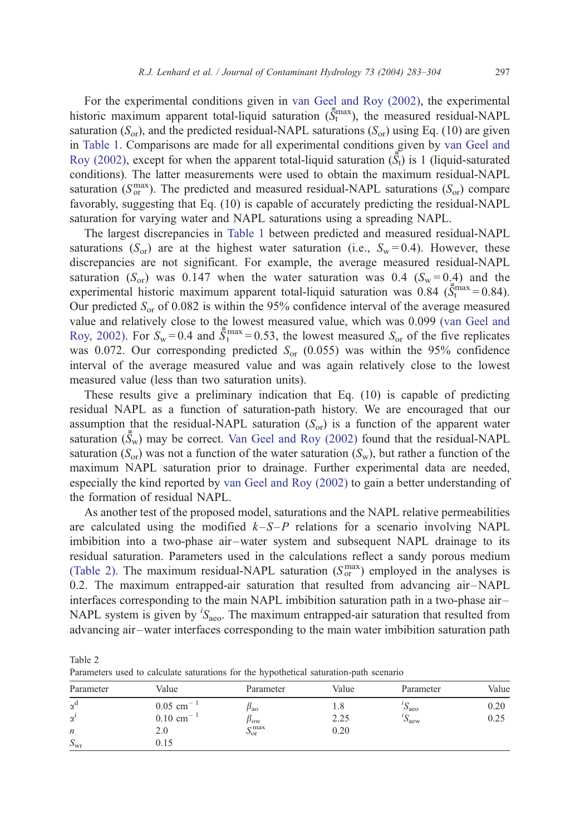<span id="page-14-0"></span>For the experimental conditions given in [van Geel and Roy \(2002\),](#page-21-0) the experimental historic maximum apparent total-liquid saturation ( $\bar{S}_{t}^{max}$ ), the measured residual-NAPL saturation  $(S_{or})$ , and the predicted residual-NAPL saturations  $(S_{or})$  using Eq. (10) are given in [Table 1.](#page-13-0) Comparisons are made for all experimental conditions given by [van Geel and](#page-21-0) Roy (2002), except for when the apparent total-liquid saturation  $(\bar{S}_t)$  is 1 (liquid-saturated conditions). The latter measurements were used to obtain the maximum residual-NAPL saturation ( $S_{\text{or}}^{\text{max}}$ ). The predicted and measured residual-NAPL saturations ( $S_{\text{or}}$ ) compare favorably, suggesting that Eq. (10) is capable of accurately predicting the residual-NAPL saturation for varying water and NAPL saturations using a spreading NAPL.

The largest discrepancies in [Table 1](#page-13-0) between predicted and measured residual-NAPL saturations ( $S_{\text{or}}$ ) are at the highest water saturation (i.e.,  $S_{\text{w}} = 0.4$ ). However, these discrepancies are not significant. For example, the average measured residual-NAPL saturation ( $S_{\text{or}}$ ) was 0.147 when the water saturation was 0.4 ( $S_{\text{w}}$  = 0.4) and the experimental historic maximum apparent total-liquid saturation was 0.84 ( $\bar{S}_{t}^{\text{max}}$  = 0.84). Our predicted  $S_{\text{or}}$  of 0.082 is within the 95% confidence interval of the average measured value and relatively close to the lowest measured value, which was 0.099 [\(van Geel and](#page-21-0) Roy, 2002). For  $S_w = 0.4$  and  $\bar{S}_t^{max} = 0.53$ , the lowest measured  $S_{or}$  of the five replicates was 0.072. Our corresponding predicted  $S_{\text{or}}$  (0.055) was within the 95% confidence interval of the average measured value and was again relatively close to the lowest measured value (less than two saturation units).

These results give a preliminary indication that Eq. (10) is capable of predicting residual NAPL as a function of saturation-path history. We are encouraged that our assumption that the residual-NAPL saturation  $(S_{or})$  is a function of the apparent water saturation  $(\bar{S}_{w})$  may be correct. [Van Geel and Roy \(2002\)](#page-21-0) found that the residual-NAPL saturation  $(S_{\text{or}})$  was not a function of the water saturation  $(S_{\text{or}})$ , but rather a function of the maximum NAPL saturation prior to drainage. Further experimental data are needed, especially the kind reported by [van Geel and Roy \(2002\)](#page-21-0) to gain a better understanding of the formation of residual NAPL.

As another test of the proposed model, saturations and the NAPL relative permeabilities are calculated using the modified  $k-S-P$  relations for a scenario involving NAPL imbibition into a two-phase air –water system and subsequent NAPL drainage to its residual saturation. Parameters used in the calculations reflect a sandy porous medium (Table 2). The maximum residual-NAPL saturation  $(S_{\text{or}}^{\text{max}})$  employed in the analyses is 0.2. The maximum entrapped-air saturation that resulted from advancing air –NAPL interfaces corresponding to the main NAPL imbibition saturation path in a two-phase air – NAPL system is given by  ${}^{i}S_{\text{aeo}}$ . The maximum entrapped-air saturation that resulted from advancing air –water interfaces corresponding to the main water imbibition saturation path

Table 2 Parameters used to calculate saturations for the hypothetical saturation-path scenario

| I municipal more to chicaime buthfulling for the hypometrical pathent path because |                         |                              |       |                            |       |
|------------------------------------------------------------------------------------|-------------------------|------------------------------|-------|----------------------------|-------|
| Parameter                                                                          | Value                   | Parameter                    | Value | Parameter                  | Value |
| $\alpha^{\rm d}$                                                                   | $0.05$ cm <sup>-1</sup> | Pao                          | 1.8   | $\mathcal{D}_{\text{aeo}}$ | 0.20  |
| $\alpha$                                                                           | $0.10 \text{ cm}^{-1}$  | $p_{ow}$                     | 2.25  | $S_{\text{aew}}$           | 0.25  |
| $\boldsymbol{n}$                                                                   | 2.0                     | $c$ max<br>$\omega_{\rm or}$ | 0.20  |                            |       |
| $S_{\rm wr}$                                                                       | 0.15                    |                              |       |                            |       |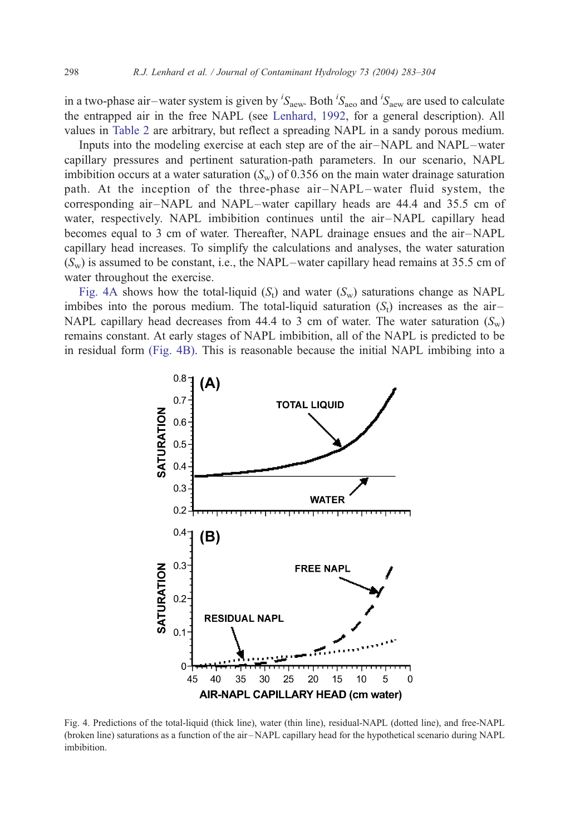<span id="page-15-0"></span>in a two-phase air-water system is given by  ${}^{i}S_{\text{aew}}$ . Both  ${}^{i}S_{\text{aev}}$  and  ${}^{i}S_{\text{aew}}$  are used to calculate the entrapped air in the free NAPL (see [Lenhard, 1992,](#page-21-0) for a general description). All values in [Table 2](#page-14-0) are arbitrary, but reflect a spreading NAPL in a sandy porous medium.

Inputs into the modeling exercise at each step are of the air –NAPL and NAPL –water capillary pressures and pertinent saturation-path parameters. In our scenario, NAPL imbibition occurs at a water saturation  $(S_w)$  of 0.356 on the main water drainage saturation path. At the inception of the three-phase air –NAPL –water fluid system, the corresponding air –NAPL and NAPL –water capillary heads are 44.4 and 35.5 cm of water, respectively. NAPL imbibition continues until the air-NAPL capillary head becomes equal to 3 cm of water. Thereafter, NAPL drainage ensues and the air –NAPL capillary head increases. To simplify the calculations and analyses, the water saturation  $(S_w)$  is assumed to be constant, i.e., the NAPL-water capillary head remains at 35.5 cm of water throughout the exercise.

Fig. 4A shows how the total-liquid  $(S_t)$  and water  $(S_w)$  saturations change as NAPL imbibes into the porous medium. The total-liquid saturation  $(S_t)$  increases as the air-NAPL capillary head decreases from 44.4 to 3 cm of water. The water saturation  $(S_w)$ remains constant. At early stages of NAPL imbibition, all of the NAPL is predicted to be in residual form (Fig. 4B). This is reasonable because the initial NAPL imbibing into a



Fig. 4. Predictions of the total-liquid (thick line), water (thin line), residual-NAPL (dotted line), and free-NAPL (broken line) saturations as a function of the air – NAPL capillary head for the hypothetical scenario during NAPL imbibition.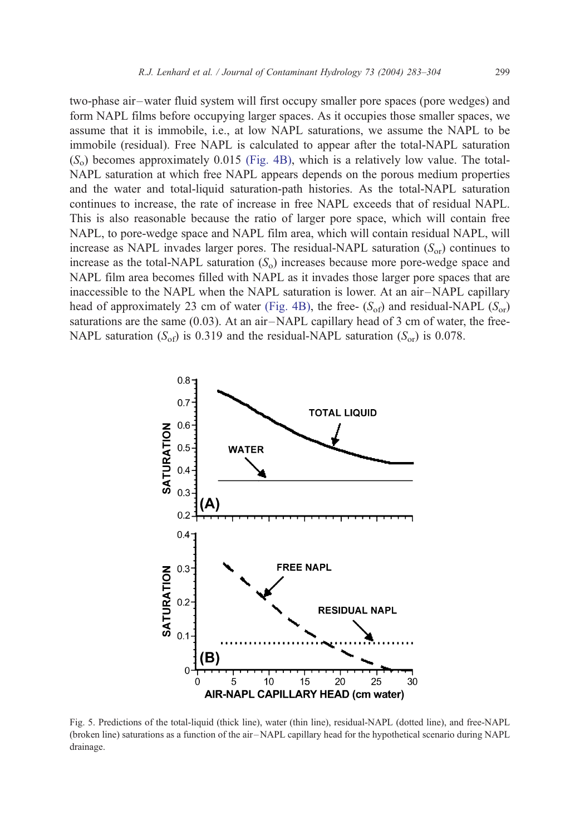<span id="page-16-0"></span>two-phase air –water fluid system will first occupy smaller pore spaces (pore wedges) and form NAPL films before occupying larger spaces. As it occupies those smaller spaces, we assume that it is immobile, i.e., at low NAPL saturations, we assume the NAPL to be immobile (residual). Free NAPL is calculated to appear after the total-NAPL saturation  $(S<sub>o</sub>)$  becomes approximately 0.015 [\(Fig. 4B\),](#page-15-0) which is a relatively low value. The total-NAPL saturation at which free NAPL appears depends on the porous medium properties and the water and total-liquid saturation-path histories. As the total-NAPL saturation continues to increase, the rate of increase in free NAPL exceeds that of residual NAPL. This is also reasonable because the ratio of larger pore space, which will contain free NAPL, to pore-wedge space and NAPL film area, which will contain residual NAPL, will increase as NAPL invades larger pores. The residual-NAPL saturation  $(S_{\text{or}})$  continues to increase as the total-NAPL saturation  $(S<sub>o</sub>)$  increases because more pore-wedge space and NAPL film area becomes filled with NAPL as it invades those larger pore spaces that are inaccessible to the NAPL when the NAPL saturation is lower. At an air –NAPL capillary head of approximately 23 cm of water [\(Fig. 4B\),](#page-15-0) the free-  $(S_{of})$  and residual-NAPL  $(S_{or})$ saturations are the same  $(0.03)$ . At an air $-NAPL$  capillary head of 3 cm of water, the free-NAPL saturation  $(S_{of})$  is 0.319 and the residual-NAPL saturation  $(S_{or})$  is 0.078.



Fig. 5. Predictions of the total-liquid (thick line), water (thin line), residual-NAPL (dotted line), and free-NAPL (broken line) saturations as a function of the air –NAPL capillary head for the hypothetical scenario during NAPL drainage.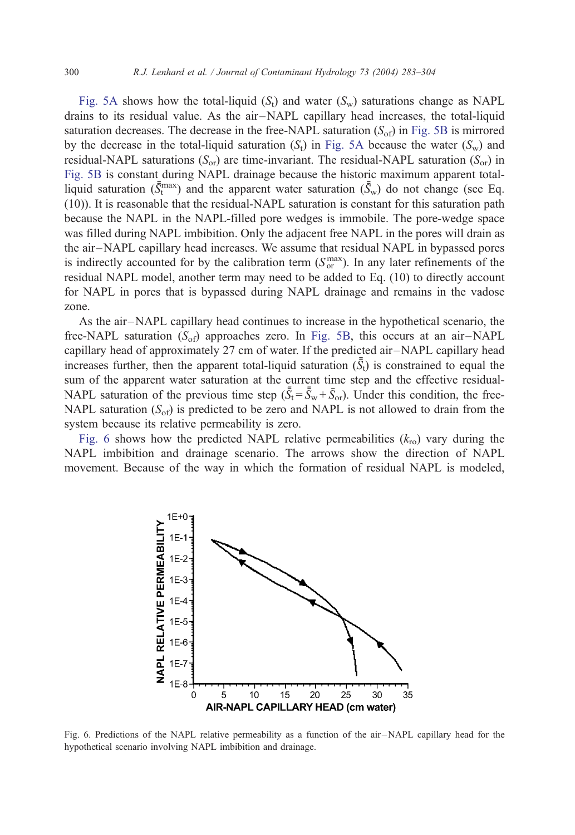<span id="page-17-0"></span>[Fig. 5A](#page-16-0) shows how the total-liquid  $(S_t)$  and water  $(S_w)$  saturations change as NAPL drains to its residual value. As the air –NAPL capillary head increases, the total-liquid saturation decreases. The decrease in the free-NAPL saturation  $(S_{\text{of}})$  in [Fig. 5B](#page-16-0) is mirrored by the decrease in the total-liquid saturation  $(S_t)$  in [Fig. 5A](#page-16-0) because the water  $(S_w)$  and residual-NAPL saturations  $(S_{or})$  are time-invariant. The residual-NAPL saturation  $(S_{or})$  in [Fig. 5B](#page-16-0) is constant during NAPL drainage because the historic maximum apparent totalliquid saturation ( $\bar{S}_{t}^{max}$ ) and the apparent water saturation ( $\bar{S}_{w}$ ) do not change (see Eq. (10)). It is reasonable that the residual-NAPL saturation is constant for this saturation path because the NAPL in the NAPL-filled pore wedges is immobile. The pore-wedge space was filled during NAPL imbibition. Only the adjacent free NAPL in the pores will drain as the air –NAPL capillary head increases. We assume that residual NAPL in bypassed pores is indirectly accounted for by the calibration term  $(S_{\text{or}}^{\text{max}})$ . In any later refinements of the residual NAPL model, another term may need to be added to Eq. (10) to directly account for NAPL in pores that is bypassed during NAPL drainage and remains in the vadose zone.

As the air –NAPL capillary head continues to increase in the hypothetical scenario, the free-NAPL saturation  $(S_{of})$  approaches zero. In [Fig. 5B,](#page-16-0) this occurs at an air-NAPL capillary head of approximately 27 cm of water. If the predicted air –NAPL capillary head increases further, then the apparent total-liquid saturation  $(\bar{S}_t)$  is constrained to equal the sum of the apparent water saturation at the current time step and the effective residual-NAPL saturation of the previous time step  $(\bar{\bar{S}}_t = \bar{\bar{S}}_w + \bar{S}_{or})$ . Under this condition, the free-NAPL saturation  $(S_{of})$  is predicted to be zero and NAPL is not allowed to drain from the system because its relative permeability is zero.

Fig. 6 shows how the predicted NAPL relative permeabilities  $(k_{\rm ro})$  vary during the NAPL imbibition and drainage scenario. The arrows show the direction of NAPL movement. Because of the way in which the formation of residual NAPL is modeled,



Fig. 6. Predictions of the NAPL relative permeability as a function of the air –NAPL capillary head for the hypothetical scenario involving NAPL imbibition and drainage.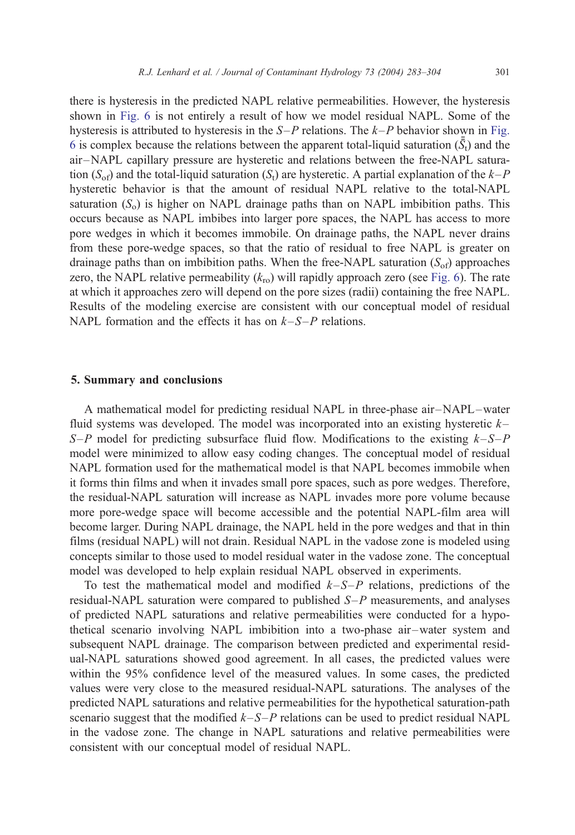there is hysteresis in the predicted NAPL relative permeabilities. However, the hysteresis shown in [Fig. 6](#page-17-0) is not entirely a result of how we model residual NAPL. Some of the hysteresis is attributed to hysteresis in the  $S-P$  relations. The  $k-P$  behavior shown in [Fig.](#page-17-0) 6 is complex because the relations between the apparent total-liquid saturation  $(\bar{S}_t)$  and the air –NAPL capillary pressure are hysteretic and relations between the free-NAPL saturation ( $S_{\text{of}}$ ) and the total-liquid saturation ( $S_t$ ) are hysteretic. A partial explanation of the  $k-P$ hysteretic behavior is that the amount of residual NAPL relative to the total-NAPL saturation  $(S<sub>o</sub>)$  is higher on NAPL drainage paths than on NAPL imbibition paths. This occurs because as NAPL imbibes into larger pore spaces, the NAPL has access to more pore wedges in which it becomes immobile. On drainage paths, the NAPL never drains from these pore-wedge spaces, so that the ratio of residual to free NAPL is greater on drainage paths than on imbibition paths. When the free-NAPL saturation  $(S_{of})$  approaches zero, the NAPL relative permeability  $(k_{\rm ro})$  will rapidly approach zero (see [Fig. 6\)](#page-17-0). The rate at which it approaches zero will depend on the pore sizes (radii) containing the free NAPL. Results of the modeling exercise are consistent with our conceptual model of residual NAPL formation and the effects it has on  $k-S-P$  relations.

#### 5. Summary and conclusions

A mathematical model for predicting residual NAPL in three-phase air –NAPL –water fluid systems was developed. The model was incorporated into an existing hysteretic  $k S-P$  model for predicting subsurface fluid flow. Modifications to the existing  $k-S-P$ model were minimized to allow easy coding changes. The conceptual model of residual NAPL formation used for the mathematical model is that NAPL becomes immobile when it forms thin films and when it invades small pore spaces, such as pore wedges. Therefore, the residual-NAPL saturation will increase as NAPL invades more pore volume because more pore-wedge space will become accessible and the potential NAPL-film area will become larger. During NAPL drainage, the NAPL held in the pore wedges and that in thin films (residual NAPL) will not drain. Residual NAPL in the vadose zone is modeled using concepts similar to those used to model residual water in the vadose zone. The conceptual model was developed to help explain residual NAPL observed in experiments.

To test the mathematical model and modified  $k-S-P$  relations, predictions of the residual-NAPL saturation were compared to published  $S-P$  measurements, and analyses of predicted NAPL saturations and relative permeabilities were conducted for a hypothetical scenario involving NAPL imbibition into a two-phase air –water system and subsequent NAPL drainage. The comparison between predicted and experimental residual-NAPL saturations showed good agreement. In all cases, the predicted values were within the 95% confidence level of the measured values. In some cases, the predicted values were very close to the measured residual-NAPL saturations. The analyses of the predicted NAPL saturations and relative permeabilities for the hypothetical saturation-path scenario suggest that the modified  $k-S-P$  relations can be used to predict residual NAPL in the vadose zone. The change in NAPL saturations and relative permeabilities were consistent with our conceptual model of residual NAPL.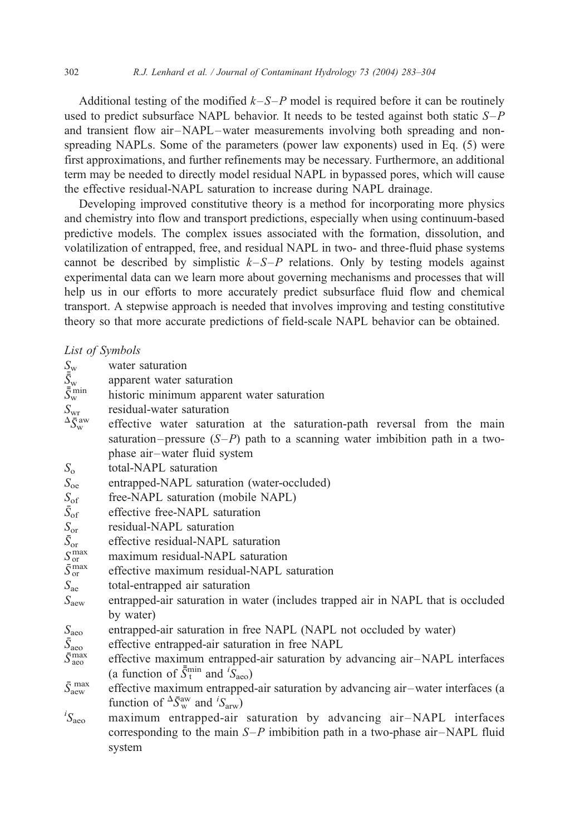Additional testing of the modified  $k-S-P$  model is required before it can be routinely used to predict subsurface NAPL behavior. It needs to be tested against both static  $S-P$ and transient flow air-NAPL-water measurements involving both spreading and nonspreading NAPLs. Some of the parameters (power law exponents) used in Eq. (5) were first approximations, and further refinements may be necessary. Furthermore, an additional term may be needed to directly model residual NAPL in bypassed pores, which will cause the effective residual-NAPL saturation to increase during NAPL drainage.

Developing improved constitutive theory is a method for incorporating more physics and chemistry into flow and transport predictions, especially when using continuum-based predictive models. The complex issues associated with the formation, dissolution, and volatilization of entrapped, free, and residual NAPL in two- and three-fluid phase systems cannot be described by simplistic  $k-S-P$  relations. Only by testing models against experimental data can we learn more about governing mechanisms and processes that will help us in our efforts to more accurately predict subsurface fluid flow and chemical transport. A stepwise approach is needed that involves improving and testing constitutive theory so that more accurate predictions of field-scale NAPL behavior can be obtained.

List of Symbols

system

|                                                                                                    | water saturation                                                                 |
|----------------------------------------------------------------------------------------------------|----------------------------------------------------------------------------------|
| $\begin{array}{c} S_{\rm w} \\ \bar{\bar S}_{\rm w} \\ \bar{\bar S}_{\rm w}^{\rm min} \end{array}$ | apparent water saturation                                                        |
|                                                                                                    |                                                                                  |
|                                                                                                    | historic minimum apparent water saturation                                       |
| $S_{\rm wr} \over \Delta \bar{S}_{\rm w}^{\rm aw}$                                                 | residual-water saturation                                                        |
|                                                                                                    | effective water saturation at the saturation-path reversal from the main         |
|                                                                                                    | saturation–pressure $(S-P)$ path to a scanning water imbibition path in a two-   |
|                                                                                                    | phase air-water fluid system                                                     |
| $S_{\rm o}$                                                                                        | total-NAPL saturation                                                            |
| $S_{\rm oe}$                                                                                       | entrapped-NAPL saturation (water-occluded)                                       |
| $S_{\rm of}$                                                                                       | free-NAPL saturation (mobile NAPL)                                               |
| $\bar{S}_{\text{of}}$                                                                              | effective free-NAPL saturation                                                   |
| $S_{\rm or}$<br>$\bar{S}_{\rm or}$<br>$S_{\rm or}^{\rm max}$                                       | residual-NAPL saturation                                                         |
|                                                                                                    | effective residual-NAPL saturation                                               |
|                                                                                                    | maximum residual-NAPL saturation                                                 |
| $\bar{S}_{\text{or}}^{\max}$                                                                       | effective maximum residual-NAPL saturation                                       |
| $S_{\text{ae}}$                                                                                    | total-entrapped air saturation                                                   |
| $S_{\text{aew}}$                                                                                   | entrapped-air saturation in water (includes trapped air in NAPL that is occluded |
|                                                                                                    | by water)                                                                        |
| $S_{\text{aeo}}$                                                                                   | entrapped-air saturation in free NAPL (NAPL not occluded by water)               |
|                                                                                                    | effective entrapped-air saturation in free NAPL                                  |
| $\bar S_{\rm aeo} \ \bar S_{\rm aeo}^{\rm max}$                                                    | effective maximum entrapped-air saturation by advancing air-NAPL interfaces      |
|                                                                                                    | (a function of $\bar{S}_{t}^{min}$ and ${}^{i}S_{\text{aeo}}$ )                  |
| $\bar S_\text{aew}^\text{ max}$                                                                    | effective maximum entrapped-air saturation by advancing air-water interfaces (a  |
|                                                                                                    | function of ${}^{\Delta} \bar{S}_{w}^{aw}$ and ${}^{i}S_{arw}$ )                 |
| ${}^{i}S_{\text{aeo}}$                                                                             | maximum entrapped-air saturation by advancing air-NAPL interfaces                |
|                                                                                                    | corresponding to the main $S-P$ imbibition path in a two-phase air-NAPL fluid    |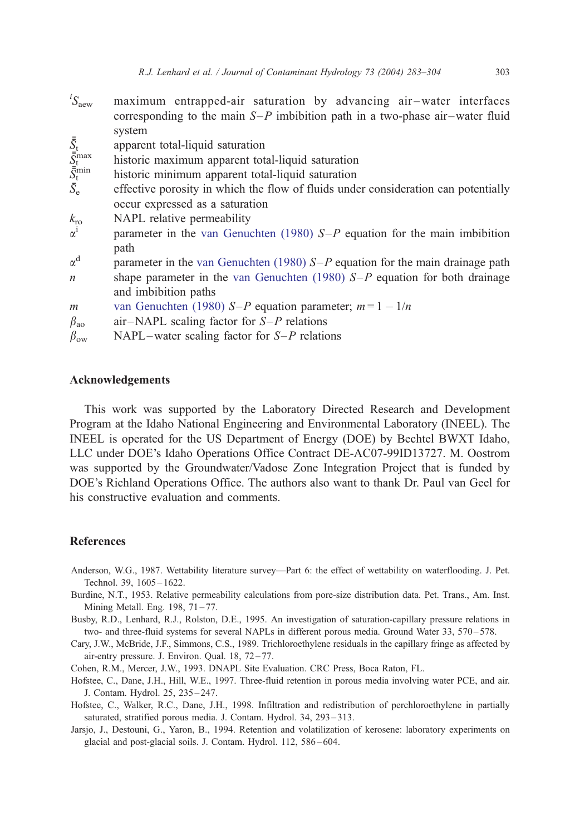<span id="page-20-0"></span>

| ${}^{i}S_{\text{aew}}$                                                                                                                             | maximum entrapped-air saturation by advancing air-water interfaces<br>corresponding to the main $S-P$ imbibition path in a two-phase air-water fluid |
|----------------------------------------------------------------------------------------------------------------------------------------------------|------------------------------------------------------------------------------------------------------------------------------------------------------|
|                                                                                                                                                    | system                                                                                                                                               |
|                                                                                                                                                    | apparent total-liquid saturation                                                                                                                     |
|                                                                                                                                                    | historic maximum apparent total-liquid saturation                                                                                                    |
| $\begin{array}{l} \bar{\bar{S}}_{\rm t} \ \bar{\bar{S}}_{\rm max}^{\rm max} \ \bar{\bar{S}}_{\rm t}^{\rm min} \ \bar{\bar{S}}_{\rm e} \end{array}$ | historic minimum apparent total-liquid saturation                                                                                                    |
|                                                                                                                                                    | effective porosity in which the flow of fluids under consideration can potentially                                                                   |
|                                                                                                                                                    | occur expressed as a saturation                                                                                                                      |
|                                                                                                                                                    | NAPL relative permeability                                                                                                                           |
| $\frac{k_{\rm ro}}{\alpha^{\rm i}}$                                                                                                                | parameter in the van Genuchten (1980) $S-P$ equation for the main imbibition                                                                         |
|                                                                                                                                                    | path                                                                                                                                                 |
| $\alpha^{\rm d}$                                                                                                                                   | parameter in the van Genuchten (1980) $S-P$ equation for the main drainage path                                                                      |
| $\boldsymbol{n}$                                                                                                                                   | shape parameter in the van Genuchten (1980) $S-P$ equation for both drainage                                                                         |
|                                                                                                                                                    | and imbibition paths                                                                                                                                 |
| m                                                                                                                                                  | van Genuchten (1980) S-P equation parameter; $m = 1 - 1/n$                                                                                           |
| $\beta_{\rm ao}$                                                                                                                                   | air-NAPL scaling factor for $S-P$ relations                                                                                                          |
| $\beta_{\rm{ow}}$                                                                                                                                  | NAPL-water scaling factor for $S-P$ relations                                                                                                        |
|                                                                                                                                                    |                                                                                                                                                      |

# Acknowledgements

This work was supported by the Laboratory Directed Research and Development Program at the Idaho National Engineering and Environmental Laboratory (INEEL). The INEEL is operated for the US Department of Energy (DOE) by Bechtel BWXT Idaho, LLC under DOE's Idaho Operations Office Contract DE-AC07-99ID13727. M. Oostrom was supported by the Groundwater/Vadose Zone Integration Project that is funded by DOE's Richland Operations Office. The authors also want to thank Dr. Paul van Geel for his constructive evaluation and comments.

## References

- Anderson, W.G., 1987. Wettability literature survey—Part 6: the effect of wettability on waterflooding. J. Pet. Technol. 39, 1605 – 1622.
- Burdine, N.T., 1953. Relative permeability calculations from pore-size distribution data. Pet. Trans., Am. Inst. Mining Metall. Eng. 198, 71 – 77.
- Busby, R.D., Lenhard, R.J., Rolston, D.E., 1995. An investigation of saturation-capillary pressure relations in two- and three-fluid systems for several NAPLs in different porous media. Ground Water 33, 570 – 578.
- Cary, J.W., McBride, J.F., Simmons, C.S., 1989. Trichloroethylene residuals in the capillary fringe as affected by air-entry pressure. J. Environ. Qual. 18, 72 – 77.
- Cohen, R.M., Mercer, J.W., 1993. DNAPL Site Evaluation. CRC Press, Boca Raton, FL.
- Hofstee, C., Dane, J.H., Hill, W.E., 1997. Three-fluid retention in porous media involving water PCE, and air. J. Contam. Hydrol. 25, 235 – 247.
- Hofstee, C., Walker, R.C., Dane, J.H., 1998. Infiltration and redistribution of perchloroethylene in partially saturated, stratified porous media. J. Contam. Hydrol. 34, 293-313.
- Jarsjo, J., Destouni, G., Yaron, B., 1994. Retention and volatilization of kerosene: laboratory experiments on glacial and post-glacial soils. J. Contam. Hydrol. 112, 586 – 604.